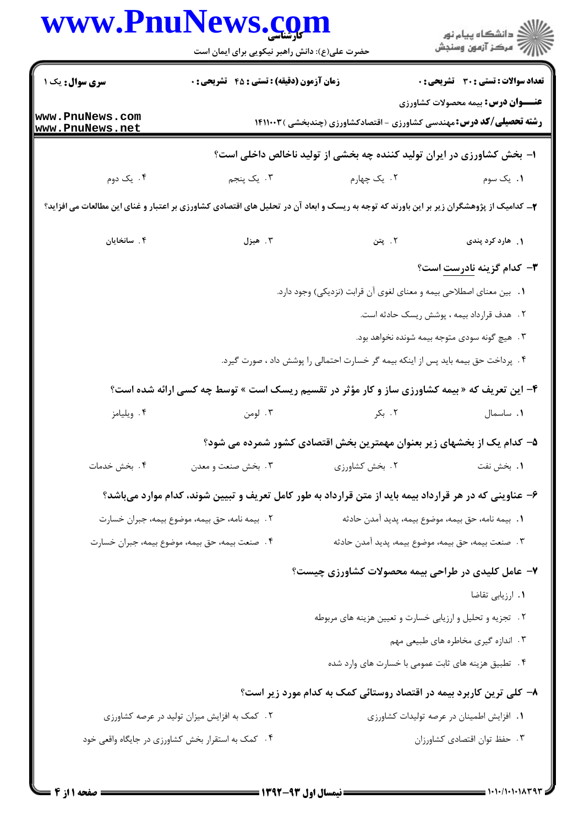|                                    | حضرت علی(ع): دانش راهبر نیکویی برای ایمان است                                                                                            |                                                                                   | ر<br>دانشڪاه پيام نور)<br>ا∛ مرڪز آزمون وسنڊش |
|------------------------------------|------------------------------------------------------------------------------------------------------------------------------------------|-----------------------------------------------------------------------------------|-----------------------------------------------|
| سری سوال: یک ۱                     | زمان آزمون (دقیقه) : تستی : 45 گتشریحی : 0                                                                                               |                                                                                   | <b>تعداد سوالات : تستي : 30 ٪ تشريحي : 0</b>  |
| www.PnuNews.com<br>www.PnuNews.net |                                                                                                                                          | <b>رشته تحصیلی/کد درس: م</b> هندسی کشاورزی - اقتصادکشاورزی (چندبخشی ) ۱۴۱۱۰۰۳     | <b>عنـــوان درس:</b> بیمه محصولات کشاورزی     |
|                                    |                                                                                                                                          | ا– بخش کشاورزی در ایران تولید کننده چه بخشی از تولید ناخالص داخلی است؟            |                                               |
| ۰۴ یک دوم                          | ۰۳ یک پنجم                                                                                                                               | ۰۲ یک چهارم                                                                       | ۰۱ یک سوم                                     |
|                                    | ۲_ کدامیک از پژوهشگران زیر بر این باورند که توجه به ریسک و ابعاد آن در تحلیل های اقتصادی کشاورزی بر اعتبار و غنای این مطالعات می افزاید؟ |                                                                                   |                                               |
| ۴. سانخایان                        | ۰۳ هیزل                                                                                                                                  | ٢. پتن                                                                            | ۱. هارد کرد پندی                              |
|                                    |                                                                                                                                          |                                                                                   | <b>۳</b> - کدام گزینه نادرست است؟             |
|                                    |                                                                                                                                          | ١. بين معناي اصطلاحي بيمه و معناي لغوي أن قرابت (نزديكي) وجود دارد.               |                                               |
|                                    |                                                                                                                                          |                                                                                   | ۲. هدف قرارداد بیمه ، پوشش ریسک حادثه است.    |
|                                    |                                                                                                                                          |                                                                                   | ۰۳ هیچ گونه سودی متوجه بیمه شونده نخواهد بود. |
|                                    |                                                                                                                                          | ۰۴ پرداخت حق بیمه باید پس از اینکه بیمه گر خسارت احتمالی را پوشش داد ، صورت گیرد. |                                               |
|                                    | ۴- این تعریف که « بیمه کشاورزی ساز و کار مؤثر در تقسیم ریسک است » توسط چه کسی ارائه شده است؟                                             |                                                                                   |                                               |
| ۰۴ ويليامز                         | ۰۳ لومن                                                                                                                                  | ۰۲ بکر                                                                            | ٠١. ساسمال                                    |
|                                    |                                                                                                                                          | ۵– کدام یک از بخشهای زیر بعنوان مهمترین بخش اقتصادی کشور شمرده می شود؟            |                                               |
| ۰۴ بخش خدمات                       | ۰۳ بخش صنعت و معدن                                                                                                                       | ٠٢ بخش كشاورزى                                                                    | 1. بخش نفت                                    |
|                                    | ۶– عناوینی که در هر قرارداد بیمه باید از متن قرارداد به طور کامل تعریف و تبیین شوند، کدام موارد میباشد؟                                  |                                                                                   |                                               |
|                                    | ٢. بيمه نامه، حق بيمه، موضوع بيمه، جبران خسارت                                                                                           | 1.  بيمه نامه، حق بيمه، موضوع بيمه، پديد آمدن حادثه                               |                                               |
|                                    | ۴. صنعت بيمه، حق بيمه، موضوع بيمه، جبران خسارت                                                                                           | °. صنعت بيمه، حق بيمه، موضوع بيمه، پديد آمدن حادثه                                |                                               |
|                                    |                                                                                                                                          | ۷- عامل کلیدی در طراحی بیمه محصولات کشاورزی چیست؟                                 |                                               |
|                                    |                                                                                                                                          |                                                                                   | ٠١. ارزيابي تقاضا                             |
|                                    |                                                                                                                                          | ۲.   تجزیه و تحلیل و ارزیابی خسارت و تعیین هزینه های مربوطه                       |                                               |
|                                    |                                                                                                                                          |                                                                                   | ۰۳ اندازه گیری مخاطره های طبیعی مهم           |
|                                    |                                                                                                                                          | ۴ . تطبیق هزینه های ثابت عمومی با خسارت های وارد شده                              |                                               |
|                                    |                                                                                                                                          | ۸– کلی ترین کاربرد بیمه در اقتصاد روستائی کمک به کدام مورد زیر است؟               |                                               |
|                                    | ۲. کمک به افزایش میزان تولید در عرصه کشاورزی                                                                                             |                                                                                   | ٠١. افزايش اطمينان در عرصه توليدات كشاورزى    |
|                                    | ۰۴ کمک به استقرار بخش کشاورزی در جایگاه واقعی خود                                                                                        |                                                                                   | ٠٣ حفظ توان اقتصادى كشاورزان                  |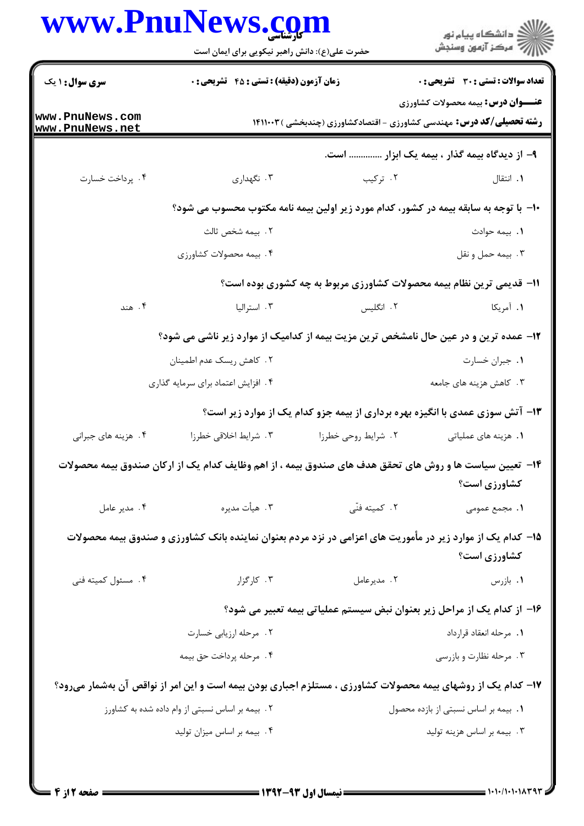| ِ<br>∭ دانشڪاه پيام نور<br>∭ مرڪز آزمون وسنڊش                                        |                                                                                                              | حضرت علی(ع): دانش راهبر نیکویی برای ایمان است   |                                    |
|--------------------------------------------------------------------------------------|--------------------------------------------------------------------------------------------------------------|-------------------------------------------------|------------------------------------|
| <b>تعداد سوالات : تستي : 30 ٪ تشريحي : 0</b>                                         |                                                                                                              | زمان آزمون (دقیقه) : تستی : 45 آتشریحی : 0      | <b>سری سوال : ۱ یک</b>             |
| <b>عنـــوان درس:</b> بیمه محصولات کشاورزی                                            | <b>رشته تحصیلی/کد درس:</b> مهندسی کشاورزی - اقتصادکشاورزی (چندبخشی ) ۱۴۱۱۰۰۳                                 |                                                 | www.PnuNews.com<br>www.PnuNews.net |
| ۹– از دیدگاه بیمه گذار ، بیمه یک ابزار  است.                                         |                                                                                                              |                                                 |                                    |
| ۰۱ انتقال                                                                            | ۰۲ ترکیب                                                                                                     | ۰۳ نگهداری                                      | ۰۴ پرداخت خسارت                    |
| ∙۱- با توجه به سابقه بیمه در کشور، کدام مورد زیر اولین بیمه نامه مکتوب محسوب می شود؟ |                                                                                                              |                                                 |                                    |
| ٠١. بيمه حوادث                                                                       |                                                                                                              | ٢.  بيمه شخص ثالث                               |                                    |
| ۰۳ بيمه حمل و نقل                                                                    |                                                                                                              | ۰۴ بیمه محصولات کشاورزی                         |                                    |
|                                                                                      | 11- قدیمی ترین نظام بیمه محصولات کشاورزی مربوط به چه کشوری بوده است؟                                         |                                                 |                                    |
| ۰۱ آمریکا                                                                            | ۲. انگلیس                                                                                                    | ۰۳ استرالیا                                     | ۰۴ هند                             |
|                                                                                      | ۱۲- عمده ترین و در عین حال نامشخص ترین مزیت بیمه از کدامیک از موارد زیر ناشی می شود؟                         |                                                 |                                    |
| ٠١. جبران خسارت                                                                      |                                                                                                              | ۰۲ کاهش ریسک عدم اطمینان                        |                                    |
| ۰۳ کاهش هزینه های جامعه                                                              | ۰۴ افزایش اعتماد برای سرمایه گذاری                                                                           |                                                 |                                    |
|                                                                                      | ۱۳- آتش سوزی عمدی با انگیزه بهره برداری از بیمه جزو کدام یک از موارد زیر است؟                                |                                                 |                                    |
| <b>۱.</b> هزینه های عملیاتی                                                          | ۲. شرایط روحی خطرزا                                                                                          | ۰۳ شرایط اخلاقی خطرزا                           | ۰۴ هزینه های جبرانی                |
|                                                                                      | ۱۴– تعیین سیاست ها و روش های تحقق هدف های صندوق بیمه ، از اهم وظایف کدام یک از ارکان صندوق بیمه محصولات      |                                                 |                                    |
| کشاورزی است؟                                                                         |                                                                                                              |                                                 |                                    |
| ١. مجمع عمومى                                                                        | ٢. كميته فنّى                                                                                                | ۰۳ هيأت مديره                                   | ۰۴ مدير عامل                       |
| کشاورزی است؟                                                                         | ۱۵– کدام یک از موارد زیر در مأموریت های اعزامی در نزد مردم بعنوان نماینده بانک کشاورزی و صندوق بیمه محصولات  |                                                 |                                    |
| ٠١. بازرس                                                                            | ٢. مديرعامل                                                                                                  | ۰۳ کارگزار                                      | ۰۴ مسئول كميته فني                 |
|                                                                                      | ۱۶– از کدام یک از مراحل زیر بعنوان نبض سیستم عملیاتی بیمه تعبیر می شود؟                                      |                                                 |                                    |
| ٠١. مرحله انعقاد قرارداد                                                             |                                                                                                              | ٢. مرحله ارزيابي خسارت                          |                                    |
| ۰۳ مرحله نظارت و بازرسی                                                              |                                                                                                              | ۴. مرحله پرداخت حق بيمه                         |                                    |
|                                                                                      | ۱۷- کدام یک از روشهای بیمه محصولات کشاورزی ، مستلزم اجباری بودن بیمه است و این امر از نواقص آن بهشمار میرود؟ |                                                 |                                    |
| ٠١. بيمه بر اساس نسبتى از بازده محصول                                                |                                                                                                              | ۲. بیمه بر اساس نسبتی از وام داده شده به کشاورز |                                    |
| ۰۳ بیمه بر اساس هزینه تولید                                                          |                                                                                                              | ۰۴ بیمه بر اساس میزان تولید                     |                                    |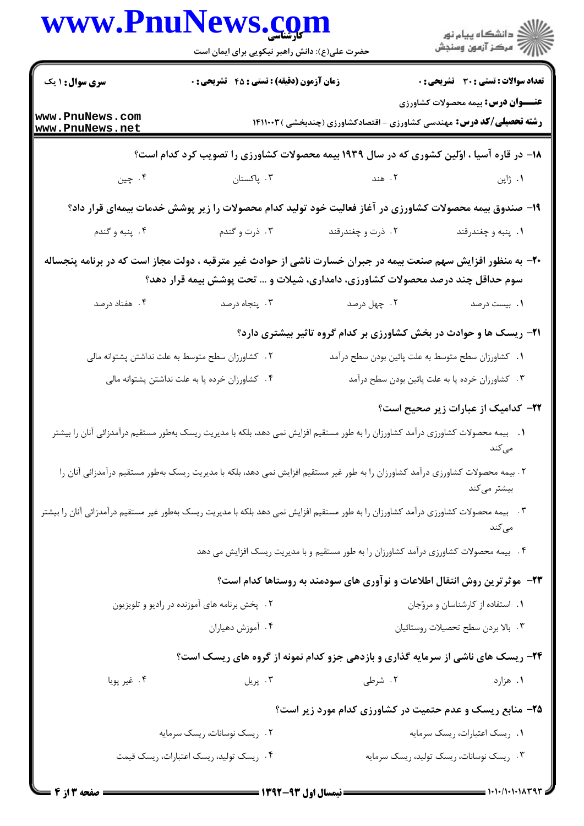|                                         | حضرت علی(ع): دانش راهبر نیکویی برای ایمان است    |                                                                                                                                                                                                  | ر دانشگاه پيام نور<br>د مرکز آزمون وسنجش     |  |
|-----------------------------------------|--------------------------------------------------|--------------------------------------------------------------------------------------------------------------------------------------------------------------------------------------------------|----------------------------------------------|--|
| <b>سری سوال : ۱ یک</b>                  | زمان آزمون (دقیقه) : تستی : 45 آتشریحی : 0       |                                                                                                                                                                                                  | <b>تعداد سوالات : تستی : 30 ٪ تشریحی : 0</b> |  |
| www.PnuNews.com<br>www.PnuNews.net      |                                                  | <b>رشته تحصیلی/کد درس:</b> مهندسی کشاورزی - اقتصادکشاورزی (چندبخشی )۱۴۱۱۰۰۳                                                                                                                      | <b>عنـــوان درس:</b> بیمه محصولات کشاورزی    |  |
|                                         |                                                  | ۱۸- در قاره آسیا ، اوّلین کشوری که در سال ۱۹۳۹ بیمه محصولات کشاورزی را تصویب کرد کدام است؟                                                                                                       |                                              |  |
| ۰۴ چين                                  | ۰۳ . پاکستان                                     | ٢. هند                                                                                                                                                                                           | ۰۱ ژاپن                                      |  |
|                                         |                                                  | ۱۹- صندوق بیمه محصولات کشاورزی در آغاز فعالیت خود تولید کدام محصولات را زیر پوشش خدمات بیمهای قرار داد؟                                                                                          |                                              |  |
| ۰۴ پنبه و گندم                          | ۰۳ ذرت و گندم                                    | ۲. ذرت و چغندرقند                                                                                                                                                                                | ۰۱ پنبه و چغندرقند                           |  |
|                                         |                                                  | +۲- به منظور افزایش سهم صنعت بیمه در جبران خسارت ناشی از حوادث غیر مترقبه ، دولت مجاز است که در برنامه پنجساله<br>سوم حداقل چند درصد محصولات کشاورزی، دامداری، شیلات و … تحت پوشش بیمه قرار دهد؟ |                                              |  |
| ۰۴ هفتاد درصد                           | ۰۳ پنجاه درصد                                    | ۰۲ چهل درصد                                                                                                                                                                                      | ۰۱. بیست درصد                                |  |
|                                         |                                                  | <b>۲۱</b> - ریسک ها و حوادث در بخش کشاورزی بر کدام گروه تاثیر بیشتری دارد؟                                                                                                                       |                                              |  |
|                                         | ۰۲ کشاورزان سطح متوسط به علت نداشتن پشتوانه مالی | ٠١ كشاورزان سطح متوسط به علت پائين بودن سطح درآمد                                                                                                                                                |                                              |  |
|                                         | ۰۴ کشاورزان خرده پا به علت نداشتن پشتوانه مالی   | ۰۳ کشاورزان خرده پا به علت پائین بودن سطح درآمد                                                                                                                                                  |                                              |  |
|                                         |                                                  |                                                                                                                                                                                                  | ۲۲– کدامیک از عبارات زیر صحیح است؟           |  |
|                                         |                                                  | 1.   بیمه محصولات کشاورزی درآمد کشاورزان را به طور مستقیم افزایش نمی دهد، بلکه با مدیریت ریسک بهطور مستقیم درآمدزائی آنان را بیشتر                                                               |                                              |  |
|                                         |                                                  | ۲ . بیمه محصولات کشاورزی درآمد کشاورزان را به طور غیر مستقیم افزایش نمی دهد، بلکه با مدیریت ریسک بهطور مستقیم درآمدزائی آنان را                                                                  | بیشتر میکند                                  |  |
|                                         |                                                  | ۳.   بیمه محصولات کشاورزی درآمد کشاورزان را به طور مستقیم افزایش نمی دهد بلکه با مدیریت ریسک بهطور غیر مستقیم درآمدزائی آنان را بیشتر                                                            | می کند                                       |  |
|                                         |                                                  | ۰۴ بیمه محصولات کشاورزی درآمد کشاورزان را به طور مستقیم و با مدیریت ریسک افزایش می دهد                                                                                                           |                                              |  |
|                                         |                                                  | ۲۳- موثرترین روش انتقال اطلاعات و نوآوری های سودمند به روستاها کدام است؟                                                                                                                         |                                              |  |
|                                         | ۲. پخش برنامه های آموزنده در رادیو و تلویزیون    |                                                                                                                                                                                                  | ٠١. استفاده از كارشناسان و مروّجان           |  |
|                                         | ۰۴ آموزش دهیاران                                 |                                                                                                                                                                                                  | ٠٣ بالا بردن سطح تحصيلات روستائيان           |  |
|                                         |                                                  | ۲۴- ریسک های ناشی از سرمایه گذاری و بازدهی جزو کدام نمونه از گروه های ریسک است؟                                                                                                                  |                                              |  |
| ۰۴ غیر پویا                             |                                                  | ۲. شرطی مسلم تا بریل ۲. پریل                                                                                                                                                                     | ۰۱ هزارد                                     |  |
|                                         |                                                  | <b>۲۵- منابع ریسک و عدم حتمیت در کشاورزی کدام مورد زیر است؟</b>                                                                                                                                  |                                              |  |
|                                         | ۰۲ ریسک نوسانات، ریسک سرمایه                     |                                                                                                                                                                                                  | ٠١ ريسك اعتبارات، ريسك سرمايه                |  |
| ۰۴ ریسک تولید، ریسک اعتبارات، ریسک قیمت |                                                  |                                                                                                                                                                                                  | ۰۳ ریسک نوسانات، ریسک تولید، ریسک سرمایه     |  |